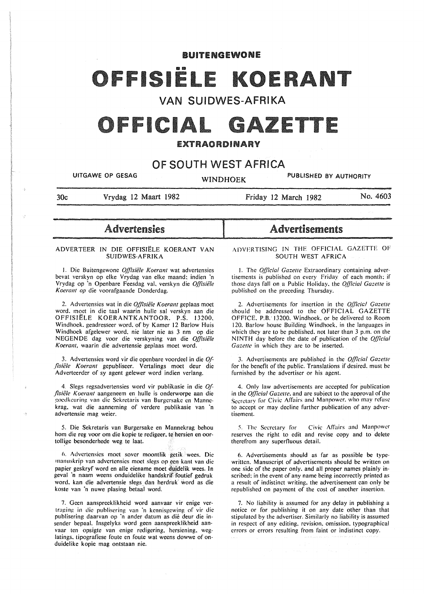# BUITENGEWONE

# 1912

# VAN SUIDWES-AFRIKA

# OFFICIAL GAZETTE

# EXTRAORDINARY

# OF SOUTH WEST AFRICA

UITGAWE OP GESAG WINDHOEK PUBLISHED BY AUTHORITY

30c

-<br>-<br>-

....

I

Friday 12 March 1982 No. 4603

# Advertensies

Vrydag 12 Maart 1982

# ADVERTEER IN DIE OFFISIELE KOERANT VAN SUIDWES-AFRIKA

I. Die Buitengewone *Offisii!le Koerant* wat advertensies bevat verskyn op elke Vrydag van elke maand; indien 'n Vrydag op 'n Openbare Feesdag val, verskyn die *Offisiële Koerant op* die voorafgaande Donderdag.

2. Advertensies wat in die *Offisiële Koerant* geplaas moet word. moet in die taal waarin hulle sal verskyn aan die OFFISIELE KOERANTKANTOOR. P.S. 13200. Windhoek. geadresseer word. of by Kamer 12 Barlow Huis Windhoek afgelewer word. nie later nie as 3 nm op die NEGENDE dag voor die verskyning van die *Offisiële Koerant,* waarin die advertensie geplaas moet word.

3. Advertensies word vir die openbare voordeel in die *Of*fisiële Koerant gepubliseer. Vertalings moet deur die Adverteerder of sy agent gelewer word indien verlang.

4, Slegs regsadvertensies word vir publikasie in die *Offisii!le Koerant* aangeneem en hulle is onderworpe aan die goedkeuring van die Sekretaris van Burgersake en Mannekrag. wat die aanneming of verdere publikasie van "n advertensie mag weier.

5. Die Sekretaris van Burgersake en Mannekrag behou hom die reg voor om die kopie te redigeer. te hersien en oortollige besonderhede weg te laat.

6. Advertensies moet sover moontlik getik wees. Die manuskrip van advertensies moet slegs op een kant van die papier geskryf word en alle eiename moet duidelik wees. In geval ·n naam weens onduidelike handskrit foutief gedruk word. kan die advertensie slegs. dan herdruk" word as die koste van 'n nuwe plasing betaal word.

7. Geen aanspreeklikheid word aanvaar vir enige vertraging in die publiscring van "n kcnnisgcwing of vir die publisering daarvan op "n ander datum as die deur die insender bepaal. Insgelyks word gecn aanspreeklikheid aanvaar ten opsigte van enige redigering. hersiening. weglatings. tipografiese foute en foute wat weens dowwe of onduidelike kopie mag ontstaan nie.

# Advertisements

# ADVERTISING IN THE OFFICIAL GAZETTE OF SOUTH WEST AFRICA

1. The *Official Gazelle* Extraordinary containing advertisements is published on every Friday of each month: if those days fall on a Public Holiday. the *Official Gazelle* is published on the preceding Thursday.

2. Advertisements for insertion in the *Official Gazette* should be addressed to the OFFICIAL GAZETTE OFFICE. P.B. 13200. Windhoek. or be delivered to Room 120. Barlow house Building Windhoek. in the languages in which they are to be published, not later than 3 p.m. on the NINTH day before the date of publication of the *Q/]icial Gazette* in which they are to be inserted.

3. Advertisements are published in the *Q/]icia/ Gazelle*  for the benefit of the public. Translations if desired. must be furnished by the advertiser or his agent.

4. Only law advertisements are accepted for publication in the *Q/]icial Gazelle,* and are subject to the approval of the Secretary for Civic Affairs and Manpower, who may refuse to accept or may decline further publication of any advertisement.

5. The Secretary for Civic Affairs and Manpower reserves the right to edit and revise copy and to delete therefrom any superfluous detail.

6. Advertisements should as far as possible be typewritten. Manuscript of advertisements should be written on one side of the paper only. and all proper names plainly inscribed: in the event of any name being incorrectly printed as a result of indistinct writing. the advertisement can only be republished on payment of the cost of another insertion.

7. No liability is assumed for any delay in publishing a notice or for publishing it on any date other than that stipulated by the advertiser. Similarly no liability is assumed in respect of any editing. revision. omission. typographical errors or errors resulting from faint or indistinct copy.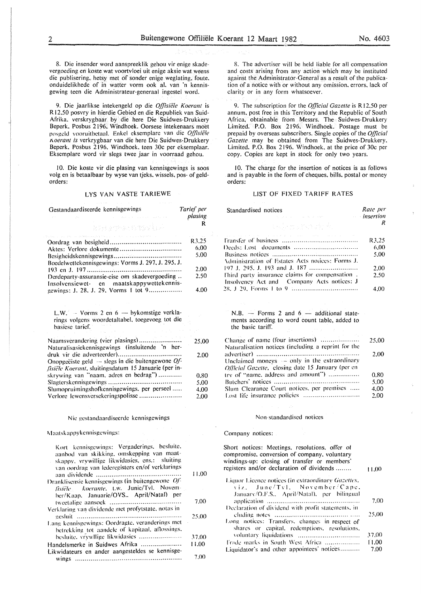8. Die insender word aanspreeklik gehou vir enige skadevergoeding en koste wat voortvloei uit enige aksie wat weens die publisering. hetsy met of sonder enige weglating. foute. onduidelikhede of in watter vorm ook al. van 'n kennisgewing teen die Administrateur-generaal ingestel word.

9. Die jaarlikse intekengeld op die *Offisiele Koerant* is R 12.50 posvry in hierdie Gebied en die Republiek van Suid-Afrika. verskrygbaar by die here Die Suidwes-Drukkery Beperk. Posbus 2196. Windhoek. Oorsese intekenaars moet posgcld vooruitbctaal. Enkcl ckscmplarc van die *q[l7siii!e 11.oerant is* verkrygbaar van die here Die Suidwes-Drukkery Beperk. Posbus 2196. Windhoek. teen 30c per eksemplaar. Eksemplare word vir slegs twee jaar in voorraad gehou.

10. Die koste vir die plasing van kennisgewings is soos volg en is betaalbaar by wyse van tjeks. wissels, pos- of geldorders:

# LYS VAN VASTE TARIEWE

| Gestandaardiseerde kennisgewings<br><b>克克县屋停停店的高能量后来</b>                                                            | Tarief per<br>plasing<br>R |
|---------------------------------------------------------------------------------------------------------------------|----------------------------|
| a construction of the construction                                                                                  | R3.25                      |
|                                                                                                                     | 6.00                       |
|                                                                                                                     | 5.00                       |
| Boedelwettekennisgewings: Vorms J. 297, J. 295, J.                                                                  |                            |
|                                                                                                                     | 2.00                       |
| Derdeparty-assuransie-eise om skadevergoeding<br>Insolvensiewet- en maatskappywettekennis-                          | 2.50                       |
| gewings: J. 28, J. 29, Vorms 1 tot 9                                                                                | 4.00                       |
|                                                                                                                     |                            |
| L.W. $-$ Vorms 2 en $6 -$ by komstige verkla-<br>rings volgens woordetaltabel, toegevoeg tot die<br>basiese tarief. |                            |

| Naamsverandering (vier plasings)                     | 25,00 |
|------------------------------------------------------|-------|
| Naturalisasiekennisgewings (insluitende 'n her-      |       |
|                                                      | 2.00  |
| Onopgeëiste geld $-$ slegs in die buitengewone Of-   |       |
| fisiële Koerant, sluitingsdatum 15 Januarie (per in- |       |
| skrywing van "naam, adres en bedrag")                | 0.80  |
|                                                      | 5.00  |
| Slumopruimingshofkennisgewings, per perseel          | 4.00  |
|                                                      | 2.00  |

#### Nie gcstandaardisccrdc kennisgcwings

1\1 aatsk appykennisgcwings:

| Kort kennisgewings: Vergaderings, besluite,<br>aanbod van skikking, omskepping van maat-<br>skappy, vrywillige likwidasies, ens.: sluiting |       |
|--------------------------------------------------------------------------------------------------------------------------------------------|-------|
| van oordrag van lederegisters en/of verklarings                                                                                            | 11.00 |
| Dranklisensie kennisgewings (in buitengewone Of-<br>fisiële koerante, t.w. Junie/Tvl. Novem-<br>ber/Kaap, Januarie/OVS., April/Natal) per  |       |
|                                                                                                                                            | 7.00  |
| Verklaring van dividende met profytstate, notas in                                                                                         | 25.00 |
| Lang kennisgewings: Oordragte, veranderings met<br>betrekking tot aandele of kapitaal, aflossings,                                         |       |
| besluite, vrywllige likwidasies                                                                                                            | 37.00 |
| Handelsmerke in Suidwes Afrika<br>Likwidateurs en ander aangesteldes se kennisge-                                                          | 11.00 |
|                                                                                                                                            | 7.00  |

8. The advertiser will be held liable for all compensation and costs arising from any action which may be instituted against the Administrator-General as a result of the publication of a notice with or without any omission. errors. lack of clarity or in any form whatsoever.

9. The subscription for the *Official Gazette* is R12,50 per annum. post free in this Territory and the Republic of South Africa, obtainable from Messrs. The Suidwes-Drukkery Limited. P.O. Box 2196. Windhoek. Postage must be prepaid by overseas subscribers. Single copies of the *Official Gazette* may be obtained from The Suidwes-Drukkery. Limited. P.O. Box 2196. Windhoek, at the price of 30c per copy. Copies are kept in stock for only two years.

10. The charge for the insertion of notices is as follows and is payable in the form of cheques. bills. postal or money orders:

### LIST OF FIXED TARIFF RATES

| Standardised notices<br>the companies and companies are a series of                                        | Rate per<br>insertion <i>insertion</i> |
|------------------------------------------------------------------------------------------------------------|----------------------------------------|
| (本身的, 地球是                                                                                                  | R                                      |
| and a series of the top of the control of the property of the control of the control of the control of the | R3.25                                  |
|                                                                                                            | 6.00                                   |
|                                                                                                            | 5.00                                   |
| Administration of Estates Acts notices: Forms J.                                                           |                                        |
| 197 J. 295, J. 193 and J. 187                                                                              | 2.00                                   |
| Third party insurance claims for compensation.                                                             | 2.50                                   |
| Insolvency Act and Company Acts notices: J                                                                 |                                        |
|                                                                                                            | 4.00                                   |
|                                                                                                            |                                        |
|                                                                                                            |                                        |
| N.B. - Forms 2 and $6 -$ additional state-<br>ments according to word count table, added to                |                                        |

the basic tariff. Change of name (four insertions) ..................... Naturalisation notices (including a reprint for the advertiser) .................................................... . Unclaimed moneys - only in the extraordinary *Official Gazette, closing date 15 January (per en* try of "name, address and amount") ................. Butchers notices ........................................... . Slum Clearance Court notices. per premises .... . Lost life insurance policies ........................... .. 25.00 2.00 0.80 5.00 4.00 2.00

#### Non- standardised notices

#### Company notices:

Short notices: Meetings. resolutions. offer of compromise. conversion of company. voluntary windings-up: closing of transfer or members' registers and/or declaration of dividends ........ Liquor Licence notices (in extraordinary Gazettes, viz. June/Tvl. November/Cape. January/O.F.S.. April/Natal), per bilingual ;1pplication ............................................... . Declaration of dividend with profit statements, in-..:h1ding note~ ......................................... .. Long notices: Transfers, changes in respect of shares or capital. redemptions. resolutions. \oluntar~· liquidations ............................... . 11.00 7.00 ~5.00 37.00

l'rade marks in South West Africa ................... Liquidator's and other appointees' notices.......... 11.00 7.00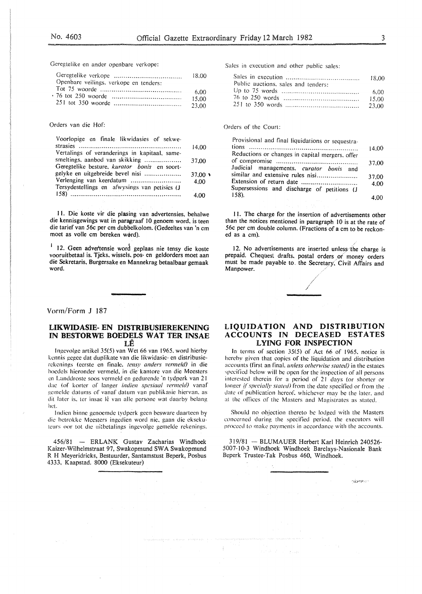Geregtelike en ander openbare verkope:

|                                        | 18.00 |
|----------------------------------------|-------|
| Openbare veilings, verkope en tenders: |       |
|                                        | 6.00  |
|                                        | 15.00 |
|                                        | 23.00 |

#### Orders van die Hof:

| Voorlopige en finale likwidasies of sekwe-    |                   |
|-----------------------------------------------|-------------------|
|                                               | 14.00             |
| Vertalings of veranderings in kapitaal, same- |                   |
| smeltings, aanbod van skikking                | 37.00             |
| Geregtelike besture, kurator bonis en soort-  |                   |
| gelyke en uitgebreide bevel nisi              | $37.00 \text{ m}$ |
| Verlenging van keerdatum                      | 4.00              |
| Tersydestellings en afwysings van petisies (J |                   |
|                                               | 4.00              |
|                                               |                   |

II. Die koste vir die plasing van advertensies. behalwe die kennisgewings wat in paragraaf 10 genoem word, is teen die tarief van 56c per em dubbelkolom. (Gedeeltes van 'n em moet as volle cm bereken word).

<sup>1</sup> 12. Geen advertensie word geplaas nie tensy die koste vooruitbetaal is. Tjeks. wissels, pos- en geldorders moet aan die Sekretaris. Burgersake en Mannekrag betaalbaar gemaak word.

### Vorm/Form J 187

# UKWIDASIE- EN DISTRIBUSIEREKENING IN BESTORWE BOEDELS WAT TER INSAE LE

Ingevolge artikel 35(5) van Wet 66 van 1965, word hierby kennis gegee dat duplikate van die likwidasie- en distribusierckenings (eerste en finale, tensy anders vermeld) in die hoedels hieronder vermeld, in die kantore van die Meesters en Landdroste soos vermeld en gedurende 'n tydperk van 21 dae (of korter of langer *indien spesiaal vermeld)* vanaf gemelde datums of vanaf datum van publikasie hiervan, as dit later is, ter insae lê van alle persone wat daarby belang het.

Indicn binne genoemde tydperk geen besware daarteen by die bctrokkc Mcesters ingcdien word nic. gaan die cksekuteurs oor tot die uitbetalings ingevolge gemelde rekenings.

456/81 - ERLANK Gustav Zacharias Windhoek Kaizer-Wilhelmstraat 97, Swakopmund SWA Swakopmund R H Meyeridricks, Bestuurder, Santamstust Beperk, Posbus 4333, Kaapstad. 8000 (Eksekuteur)

Sales in execution and other public sales:

| Public auctions, sales and tenders: |        |
|-------------------------------------|--------|
|                                     | - 6.00 |
|                                     | -15.00 |
|                                     |        |

### Orders of the Court:

| Provisional and final liquidations or sequestra- |       |
|--------------------------------------------------|-------|
|                                                  | 14.00 |
| Reductions or changes in capital mergers. offer  |       |
|                                                  | 37.00 |
| Judicial managements, curator bonis and          |       |
| similar and extensive rules nisi                 | 37.00 |
|                                                  | 4.00  |
| Supersessions and discharge of petitions (J      |       |
| 158.                                             |       |

11. The charge for the insertion of advertisements other than the notices mentioned in paragraph 10 is at the rate of 56c per em double column. (Fractions of a em to be reckoned as a em).

I2. No advertisements are inserted unless the charge is prepaid. Cheques, drafts, postal orders of money orders must be made payable to the Secretary, Civil Affairs and Manpower.

# LIQUIDATION AND DISTRIBUTION ACCOUNTS IN DECEASED ESTATES LYING FOR INSPECTION

In terms of section 35(5) of Act 66 of 1965. notice is hereby given that copies of the liquidation and distribution accounts (first an final. *unless otherwise stated)* in the estates specified below will be open for the inspection of all persons interested therein for a period of 21 days (or shorter or longer *if specially stated*) from the date specified or from the date of publication hereof. whichever mav be the later. and at the offices of the Masters and Magistrates as stated.

Should no objection thereto be lodged with the Masters concerned during the specified period. the executors will proceed to make payments in accordance with the accounts.

319/81 - BLUMAUER Herbert Karl Heinrich 240526- 5007-10-3 Windhoek Windhoek Barclays-Nasionale Bank Beperk Trustee-Tak Posbus 460, Windhoek.

of 1929

sizme>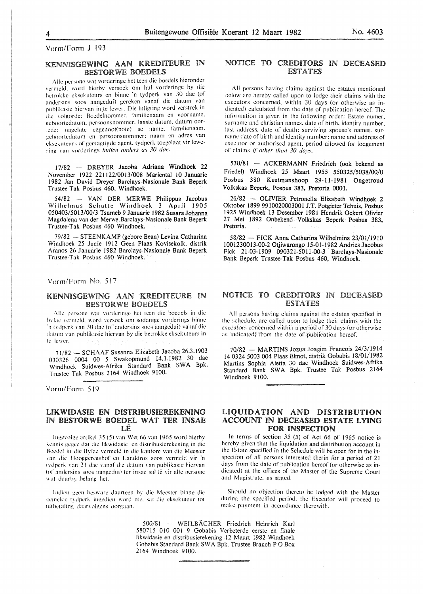# KENNISGEWING AAN KREDITEURE IN BESTORWE BOEDELS

Alle persone wat vorderinge het teen die boedels hieronder vermeld, word hierby versoek om hul vorderinge by die hetrokke eksekuteurs en binne 'n tydperk van 30 dae (of andcrsins soos aangcdui) gerekcn vanaf die datum van publikasie hiervan in te lewer. Die inligting word verstrek in die volgorde: Boedelnommer, familienaam en voorname. geboortedatum. persoonsnommer. laaste datum. datum oorlede: nagelate eggenoot(note) se name, familienaam. geboortedatum en persoonsnommer: naam en adres van cksckutcurs of gemagtigde agent. tydperk toegelaat vir lewering \·an vorderings *indien anders as 30 dae.* 

17/82 - DREYER Jacoba Adriana Windhoek 22 November 1922 221122/0013/008 Mariental 10 Januarie 1982 Jan David Dreyer Barclays-Nasionale Bank Beperk Trustee-Tak Posbus 460, Windhoek.

54/82 - VAN DER MER WE Philippus Jacobus Wilhelmus Schutte Windhoek 3 April 1905 050403/5013/00/3 Tsumeb 9 Januarie 1982 SusaraJohanna Magdalena van der Merwe Barclays-Nasionale Bank Beperk Trustee-Tak Posbus 460 Windhoek.

79/82 - STEENKAMP (gebore Bean) Levina Catharina Windhoek 25 Junie 1912 Geen Plaas Kovisekolk, distrik Aranos 26 Januarie 1982 Barclays-Nasionale Bank Beperk Trustee-Tak Posbus 460 Windhoek.

Vorm/Form No. 517

# KENNISGEWING AAN KREDlTEURE IN BESTORWE BOEDELS

Alle persone wat vorderinge het teen die boedels in die bylac vermeld, word versoek om sodanige vorderings binne ·n t \ dpcrk \an .\0 dae (of andcr~ins sons aangcdui) vanaf die datum van publikasie hiervan by die betrokke eksekuteurs in te lewer.

71/82 - SCHAAF Susanna Elizabeth Jacoba 26.3.1903 030326 0004 00 5 Swakopmund 14.1.1982 30 dae Windhoek Suidwes-Afrika Standard Bank SWA Bpk. Trustee Tak Posbus 2164 Windhoek 9100.

Vorm/Form 519

# UKWIDASIE EN DISTRIBUSIEREKENING IN BESTORWE BOEDEL WAT TER INSAE LE

lngevolge artikel 35 (5) van Wet 66 van 1965 word hierby kcnnis gegec dat die likwidasie en distrihusierekcning in die Boedel in die Bylae vermeld in die kantore van die Meester van die Hooggeregshof en Landdros soos vermeld vir 'n tydperk van 21 dae vanaf die datum van publikasie hiervan tof andersins soos aangeduil ter insac sal lê vir alle persone wat daarby belang het.

lndicn gecn hc~warc daarteen hy die Meester hinnc die eemelde tydperk ingedien word nie, sal die eksekuteur tot uithetaling daarvolgens oorgaan.

# NOTICE TO CREDITORS IN DECEASED **ESTATES**

All persons having claims against the estates mentioned below arc hereby called upon to lodge their claims with the executors concerned. within 30 days (or otherwise as indicated) calculated from the date of publication hereof. The information is given in the following order: Estate numer. surname and christian names, date of birth. identity number. last address. date of death: surviving spouse's names. surname date of birth and identity number: name and address of executor or authorised agent. period allowed for lodgement of claims if *olher !han 30 days.* 

530/81 - ACKERMANN Friedrich (ook bekend as Friedel) Windhoek 25 Maart 1955 550325/5038/00/0 Posbus 380 Keetmanshoop 29-11-1981 Ongetroud Volkskas Beperk, Posbus 383, Pretoria 0001.

26/82 - OLIVIER Petronella Elizabeth Windhoek 2 Oktober 1899 9910020003001 J.T. Potgieter Tehuis, Posbus 1925 Windhoek 13 Desember 1981 Hendrik Ockert Olivier 27 Mei 1892 Onbekend Volkskas Beperk Posbus 383, Pretoria.

58/82 - FICK Anna Catharina Wilhelmina 23/01/1910 1001230013-00-2 Otjiwarongo 15-01-1982 Andries Jacobus Fick 21-03-1909 090321-5011-00-3 Barclays-Nasionale Bank Beperk Trustee-Tak Posbus 460, Windhoek.

# NOTICE TO CREDITORS IN DECEASED ESTATES

All persons having claims against the estates specified in the schedule, are called upon to lodge their claims with the executors concerned within a period of 30 days (or otherwise as indicated) from the date of publication hereof.

70/82 - MARTINS Jozua Joagim Francois 24/3/1914 14 0324 5003 004 Plaas Elmot, distrik Gobabis !8/01/1982 Martins Sophia Aletta 30 dae Windhoek Suidwes-Afrika Standard Bank SWA Bpk. Trustee Tak Posbus 2164 Windhoek 9100.

# LIQUIDATION AND DISTRIBUTION ACCOUNT IN DECEASED ESTATE LYING FOR INSPECTION

In terms of section 35 (5) of Act 66 of 1965 notice is hereby given that the liquidation and distribution account in the Estate specified in the Schedule will be open for in the inspection of all persons interested therin for a period of 21 days from the date of publication hereof (or otherwise as indicated) at the offices of the Master of the Supreme Court and Magistrate, as stated.

Should no objection thereto be lodged with the Master during the specified period. the Executor will proceed to make payment in accordance therewith.

500/81 - WEILBÄCHER Friedrich Heinrich Karl 580715 010 001 9 Gobabis Verbeterde eerste en finale likwidasie en distribusierekening 12 Maart 1982 Windhoek Gobabis Standard Bank SW A Bpk. Trustee Branch P 0 Box 2!64 Windhoek 9100.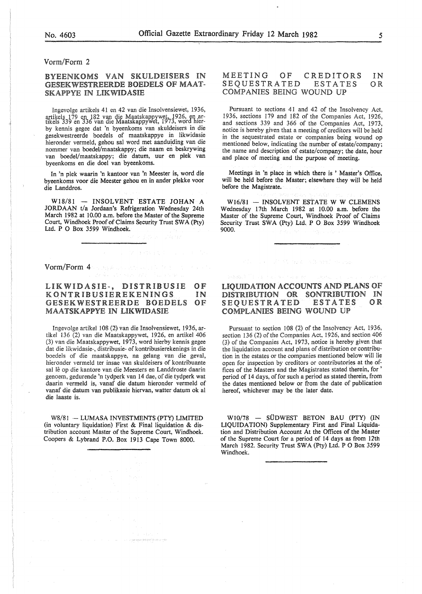# Vorm/Form 2

# BYEENKOMS VAN SKULDEISERS IN GESEKWESTREERDE BOEDELS OF MAAT-**SKAPPYE IN LIKWIDASIE**

Ingevolge artikels 41 en 42 van die Insolvensiewet, 1936, artikels 179 en 182 van die Maatskappywet, 1926, en ar- tikels 339 en 336 van die Maatskappywet, 1973, word hierby kennis gegee dat 'n byeenkoms van skuldeisers in die gesekwestreerde boedels of maatskappye in likwidasie hieronder vermeld, gehou sal word met aanduiding van die nommer van boedel/maatskappy; die naam en beskrywing van boedel/maatskappy; die datum, uur en plek van byeenkoms en die doe! van byeenkoms.

In 'n plek waarin 'n kantoor van 'n Meester is, word die byeenkoms voor die Meester gehou en in ander plekke voor die Landdros.

W18/81 - INSOLVENT ESTATE JOHAN A JORDAAN t/a Jordaan's Refrigeration Wednesday 24th March 1982 at 10.00 a.m. before the Master of the Supreme Court, Windhoek Proof of Claims Security Trust SWA (Pty) *Ud.* P 0 Box 3599 Windhoek.

Vorm/Form 4

#### LIKWIDASIE-, DISTRIBUSIE **KONTRIBUSIEREKENINGS** GESEKWESTREERDE BOEDELS MAATSKAPPYE IN LIKWIDASIE OF IN OF

Ingevolge artikel 108 (2) van die Insolvensiewet, 1936, artikel 136 (2) van die Maatskappywet, 1926, en artikel 406 (3) van die Maatskappywet, 1973, word hierby kennis gegee dat die likwidasie-, distribusie- of kontribusierekenings in die boedels of die maatskappye, na gelang van die geval, hieronder vermeld ter insae van skuldeisers of kontribuante sal lê op die kantore van die Meesters en Landdroste daarin genoem, gedurende 'n tydperk van 14 dae, of die tydperk wat daarin vermeld is, vanaf die datum hieronder vermeld of vanaf die datum van publikasie hiervan, watter datum ok a! die laaste is.

W8/81 - LUMASA INVESTMENTS (PTY) LIMITED (in voluntary liquidation) First & Final liquidation & distribution account Master of the Supreme Court, Windhoek. Coopers & Lybrand P.O. Box 1913 Cape Town 8000.

#### MEETING OF CREDITORS<br>SEOUESTRATED ESTATES SEQUESTRATED COMPANIES BEING WOUND IN OR

Pursuant to sections 41 and 42 of the Insolvency Act, 1936, sections 179 and 182 of the Companies Act, 1926, and sections 339 and 366 of the Companies Act, 1973, notice is hereby given that a meeting of creditors will be held in the sequestrated estate or companies being wound op mentioned below, indicating the number of estate/company; the name and description of estate/company; the date, hour and place of meeting and the purpose of meeting.

Meetings in 'n place in which there is ' Master's Office, will be held before the Master; elsewhere they will be held before the Magistrate.

 $W16/81 - INSOLVENT ESTATE W W CLEMENS$ Wednesday 17th March 1982 at 10.00 a.m. before the Master of the Supreme Court, Windhoek Proof of Claims Security Trust SWA (Pty) Ltd. P O Box 3599 Windhoek 9000.

# LIQUIDATION ACCOUNTS AND PLANS DISTRIBUTION SONTRIBUTION IN SEQUESTRATED ESTATES OR COMPLANIES BEING WOUND UP

Pursuant to section 108 (2) of the Insolvency Act, 1936, section 136 (2) of the Companies Act, 1926, and section 406 (3) of the Companies Act, 1973, notice is hereby given that the liquidation account and plans of distribution or contribution in the estates or the companies mentioned below will lie open for inspection by creditors or contributories at the offices of the Masters and the Magistrates stated therein, for ' period of 14 days, of for such a period as stated therein, from the dates mentioned below or from the date of publication hereof, whichever may be the later date.

W10/78 - SÜDWEST BETON BAU (PTY) (IN LIQUIDATION) Supplementary First and Final Liquidation and Distribution Account At the Offices of the Master of the Supreme Court for a period of 14 days as from 12th March 1982. Security Trust SWA (Pty) Ltd. P O Box 3599 Windhoek.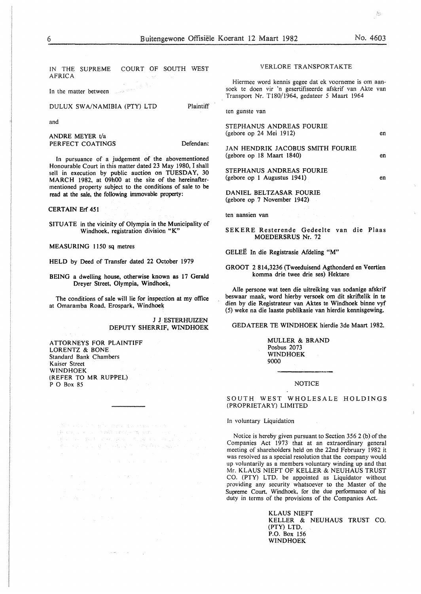IN THE SUPREME COURT OF SOUTH WEST AFRICA

In the matter between

DULUX SWA/NAMIBIA (PTY) LTD

and

ANDRE MEYER t/a PERFECT COATINGS

Defendant

Plaintiff

In pursuance of a judgement of the abovementioned Honourable Court in this matter dated 23 May 1980, I shall sell in execution by public auction on TUESDAY, 30 MARCH 1982, at 09h00 at the site of the hereinaftermentioned property subject to the conditions of sale to be read at the sale, the following immovable property:

CERTAIN Erf 451

SITUATE in the vicinity of Olympia in the Municipality of Windhoek, registration division "K"

MEASURING 1150 sq metres

HELD by Deed of Transfer dated 22 October 1979

BEING a dwelling house, otherwise known as 17 Gerald Dreyer Street, Olympia, Windhoek,

The conditions of sale will lie for inspection at my office at Omaramba Road. Erospark, Windhoek

> J J ESTERHUIZEN DEPUTY SHERRIF, WINDHOEK

ATTORNEYS FOR PLAINTIFF LORENTZ & BONE Standard Bank Chambers Kaiser Street WINDHOEK (REFER TO MR RUPPEL) P O Box 85

# VERLORE TRANSPORTAKTE

Hiermee word kennis gegee dat ek voorneme is om aansoek te doen vir 'n gesertifiseerde afskrif van Akte van Transport Nr. TlS0/1964, gedateer 5 Maart 1964

ten gunste van

STEPHANUS ANDREAS FOURIE (gebore op 24 Mei 1912)

JAN HENDRIK JACOBUS SMITH FOURIE (gebore op 18 Maart 1840)

STEPHANUS ANDREAS FOURIE (gebore op I Augustus 1941)

DANIEL BELTZASAR FOURIE (gebore op 7 November 1942)

ten aansien van

SEKERE Resterende Gedeelte van die Plaas MOEDERSRUS Nr. 72

GELEË In die Registrasie Afdeling "M"

GROOT 2 814,3236 (Tweeduisend Agthonderd en Veertien komma drie twee drie ses) Hektare

Aile persone wat teen die uitreiking van sodanige afskrif beswaar maak, word hierby versoek om dit skriftelik in te dien by die Registrateur van Aktes te Windhoek binne vyf (5) weke na die laaste publikasie van hierdie kennisgewing.

GEDATEER TE WINDHOEK hierdie 3de Maart 1982.

MULLER & BRAND Posbus 2073 WINDHOEK 9000

# **NOTICE**

SOUTH WEST WHOLESALE HOLDINGS (PROPRIETARY) LIMITED

# In voluntary Liquidation

Notice is hereby given pursuant to Section 356 2 (b) of the Companies Act 1973 that at an extraordinary general meeting of shareholders held on the 22nd February 1982 it was resolved as a special resolution that the company would up voluntarily as a members voluntary winding up and that Mr. KLAUS NIEFT OF KELLER & NEUHAUS TRUST CO. (PTY) LTD. be appointed as Liquidator without providing any security whatsoever to the Master of the Supreme Court. Windhoek, for the due performance of his duty in terms of the provisions of the Companies Act.

> KLAUS NIEFT KELLER & NEUHAUS TRUST CO. (PTY) LTD. P.O. Box 156 WINDHOEK

 $\mathcal{B}_{\mathcal{C}}$ 

en

en

en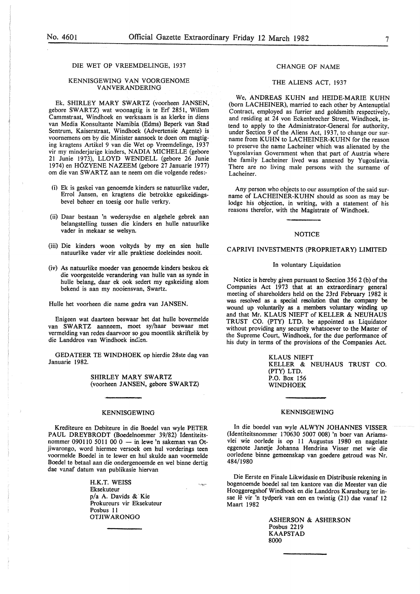# DIE WET OP VREEMDELINGE, 1937

# KENNISGEWING VAN VOORGENOME **VANVERANDERING**

Ek, SHIRLEY MARY SWARTZ (voorheen JANSEN, gebore SWARTZ) wat woonagtig is te Erf 2851, Willem Cammstraat, Windhoek en werksaam is as klerke in diens van Media Konsultante Namibia (Edms) Beperk van Stad Sentrum, Kaiserstraat, Windhoek (Advertensie Agente) is voornemens om by die Minister aansoek te doen om magtiging kragtens Artikel 9 van die Wet op Vreemdelinge, 1937 vir my minderjarige kinders, NADIA MICHELLE (gebore 21 Junie 1973), LLOYD WENDELL (gebore 26 Junie 1974) en H6ZYENE NAZEEM (gebore 27 Januarie 1977) om die van SWARTZ aan te neem om die volgende redes:-

- (i) Ek is geskei van genoemde kinders se natuurlike vader, Errol Jansen, en kragtens die betrokke egskeidingsbevel beheer en toesig oor hulle verkry.
- (ii) Daar bestaan 'n wedersydse en algehele gebrek aan belangstelling tussen die kinders en hulle natuurlike vader in mekaar se welsyn.
- (iii) Die kinders woon voltyds by my en sien hulle natuurlike vader vir aile praktiese doeleindes nooit.
- (iv) As natuurlike moeder van genoemde kinders beskou ek die voorgestelde verandering van hulle van as synde in hulle belang, daar ek ook sedert my egskeiding alom bekend is aan my nooiensvan, Swartz.

Hulle het voorheen die name gedra van JANSEN.

Enigeen wat daarteen beswaar het dat hulle bovermelde van SWARTZ aanneem, moet sy/haar beswaar met vermelding van redes daarvoor so gou moontlik skriftelik by die Landdros van Windhoek indien.

GEDATEER TE WINDHOEK op hierdie 28ste dag van Januarie 1982.

> SHIRLEY MARY SWARTZ (voorheen JANSEN, gebore SWARTZ)

# KENNISGEWING

Krediteure en Debiteure in die Boedel van wyle PETER PAUL DREYBRODT (Boedelnommer 39/82) Identiteitsnommer 090110 5011 00 0  $-$  in lewe 'n sakeman van Otjiwarongo, word hiermee versoek om hul vorderings teen voormelde Boedel in te !ewer en hul skulde aan voormelde Boedel te betaal aan die ondergenoemde en wei binne dertig dae vanaf datum van publikasie hiervan

> H.K.T. WEISS Eksekuteur p/a A. Davids & Kie Prokureurs vir Eksekuteur Posbus 11 **OTJIWARONGO**

 $\gamma \eta \rho$ 

# CHANGE OF NAME

# THE ALIENS ACT, 1937

We, ANDREAS KUHN and HEIDE-MARIE KUHN (born LACHEINER), married to each other by Antenuptial Contract, employed as furrier and goldsmith respectively, and residing at 24 von Eckenbrecher Street, Windhoek, intend to apply to the Administrator-General for authority, under Section 9 of the Aliens Act, 1937, to change our surname from KUHN to LACHEINER-KUHN for the reason to preserve the name Lacheiner which was alienated by the Yugoslavian Government when that part of Austria where the family Lacheiner lived was annexed by Yugoslavia. There are no living male persons with the surname of Lacheiner.

Any person who objects to our assumption of the said surname of LACHEINER-KUHN should as soon as may be lodge his objection, in writing, with a statement of his reasons therefor, with the Magistrate of Windhoek.

#### **NOTICE**

### CAPRIVI INVESTMENTS (PROPRIETARY) LIMITED

#### In voluntary Liquidation

Notice is hereby given pursuant to Section 356 2 (b) of the Companies Act 1973 that at an extraordinary general meeting of shareholders held on the 23rd February 1982 it was resolved as a special resolution that the company be wound up voluntarily as a members voluntary winding up and that Mr. KLAUS NIEFT of KELLER & NEUHAUS TRUST CO. (PTY) LTD. be appointed as Liquidator without providing any security whatsoever to the Master of the Supreme Court, Windhoek, for the due performance of his duty in terms of the provisions of the Companies Act.

> KLAUS NIEFT KELLER & NEUHAUS TRUST CO. (PTY) LTD. P.O. Box 156 WINDHOEK

# KENNISGEWING

In die boedel van wyle ALWYN JOHANNES VISSER (Identiteitsnommer 170630 5007 008) 'n boer van Ariamsvlei wie oorlede is op 11 Augustus 1980 en nagelate eggenote Janetje Johanna Hendrina Visser met wie die oorledene binne gemeenskap van goedere getroud was Nr. 484/1980

Die Eerste en Finale Likwidasie en Distribusie rekening in bogenoemde boedel sal ten kantore van die Meester van die Hooggeregshof Windhoek en die Landdros Karasburg ter insae lê vir 'n tydperk van een en twintig (21) dae vanaf 12 Maart 1982

> ASHERSON & ASHERSON Posbus 2219 KAAPSTAD 8000